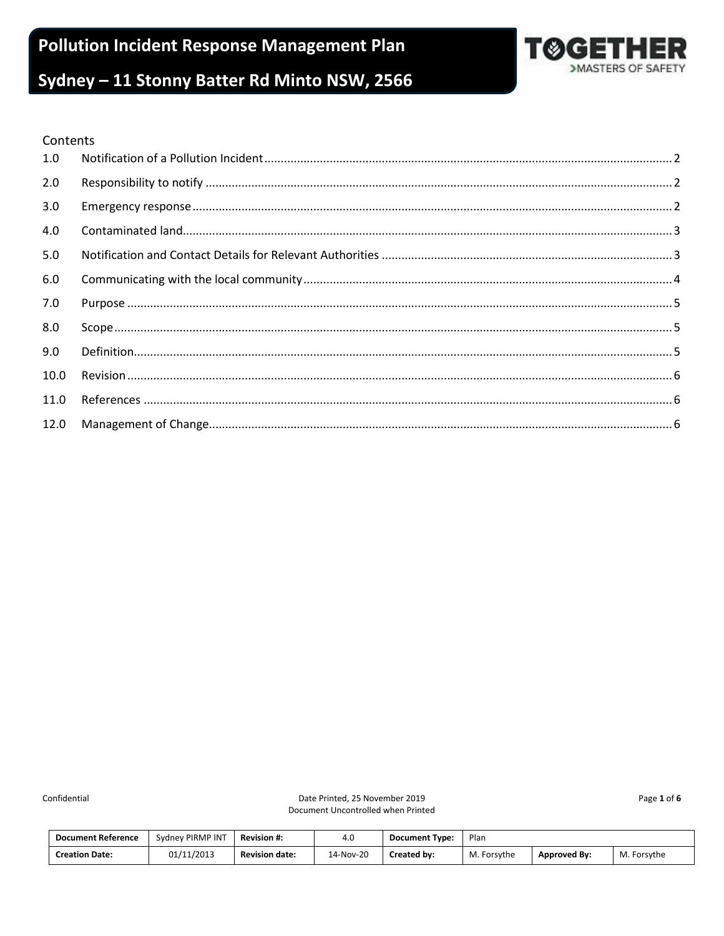**Pollution Incident Response Management Plan** 



# Sydney - 11 Stonny Batter Rd Minto NSW, 2566

#### Contents

| 1.0  |  |
|------|--|
| 2.0  |  |
| 3.0  |  |
| 4.0  |  |
| 5.0  |  |
| 6.0  |  |
| 7.0  |  |
| 8.0  |  |
| 9.0  |  |
| 10.0 |  |
| 11.0 |  |
| 12.0 |  |

Confidential

Date Printed, 25 November 2019 Document Uncontrolled when Printed Page 1 of 6

| <b>Document Reference</b> | Sydney PIRMP INT | <b>Revision #:</b>    | 4.U       | <b>Document Type:</b> | Plan        |                     |             |
|---------------------------|------------------|-----------------------|-----------|-----------------------|-------------|---------------------|-------------|
| <b>Creation Date:</b>     | 01/11/2013       | <b>Revision date:</b> | 14-Nov-20 | Created by:           | M. Forsythe | <b>Approved By:</b> | M. Forsythe |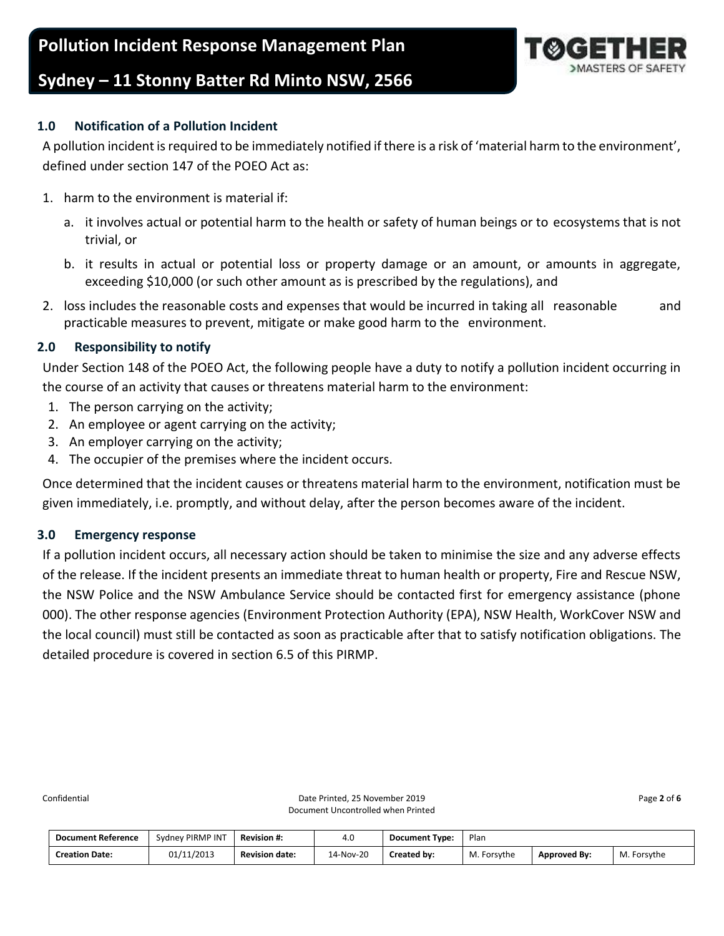**Pollution Incident Response Management Plan**



## **Sydney – 11 Stonny Batter Rd Minto NSW, 2566**

## <span id="page-1-0"></span>**1.0 Notification of a Pollution Incident**

A pollution incident is required to be immediately notified if there is a risk of 'material harm to the environment', defined under section 147 of the POEO Act as:

- 1. harm to the environment is material if:
	- a. it involves actual or potential harm to the health or safety of human beings or to ecosystems that is not trivial, or
	- b. it results in actual or potential loss or property damage or an amount, or amounts in aggregate, exceeding \$10,000 (or such other amount as is prescribed by the regulations), and
- 2. loss includes the reasonable costs and expenses that would be incurred in taking all reasonable and practicable measures to prevent, mitigate or make good harm to the environment.

## <span id="page-1-1"></span>**2.0 Responsibility to notify**

Under Section 148 of the POEO Act, the following people have a duty to notify a pollution incident occurring in the course of an activity that causes or threatens material harm to the environment:

- 1. The person carrying on the activity;
- 2. An employee or agent carrying on the activity;
- 3. An employer carrying on the activity;
- 4. The occupier of the premises where the incident occurs.

Once determined that the incident causes or threatens material harm to the environment, notification must be given immediately, i.e. promptly, and without delay, after the person becomes aware of the incident.

## <span id="page-1-2"></span>**3.0 Emergency response**

If a pollution incident occurs, all necessary action should be taken to minimise the size and any adverse effects of the release. If the incident presents an immediate threat to human health or property, Fire and Rescue NSW, the NSW Police and the NSW Ambulance Service should be contacted first for emergency assistance (phone 000). The other response agencies (Environment Protection Authority (EPA), NSW Health, WorkCover NSW and the local council) must still be contacted as soon as practicable after that to satisfy notification obligations. The detailed procedure is covered in section 6.5 of this PIRMP.

| <b>Document Reference</b> | Sydney PIRMP INT | <b>Revision #:</b>    | 4.0       | <b>Document Type:</b> | Plan        |              |                |
|---------------------------|------------------|-----------------------|-----------|-----------------------|-------------|--------------|----------------|
| <b>Creation Date:</b>     | 01/11/2013       | <b>Revision date:</b> | 14-Nov-20 | Created by:           | M. Forsythe | Approved By: | Forsythe<br>M. |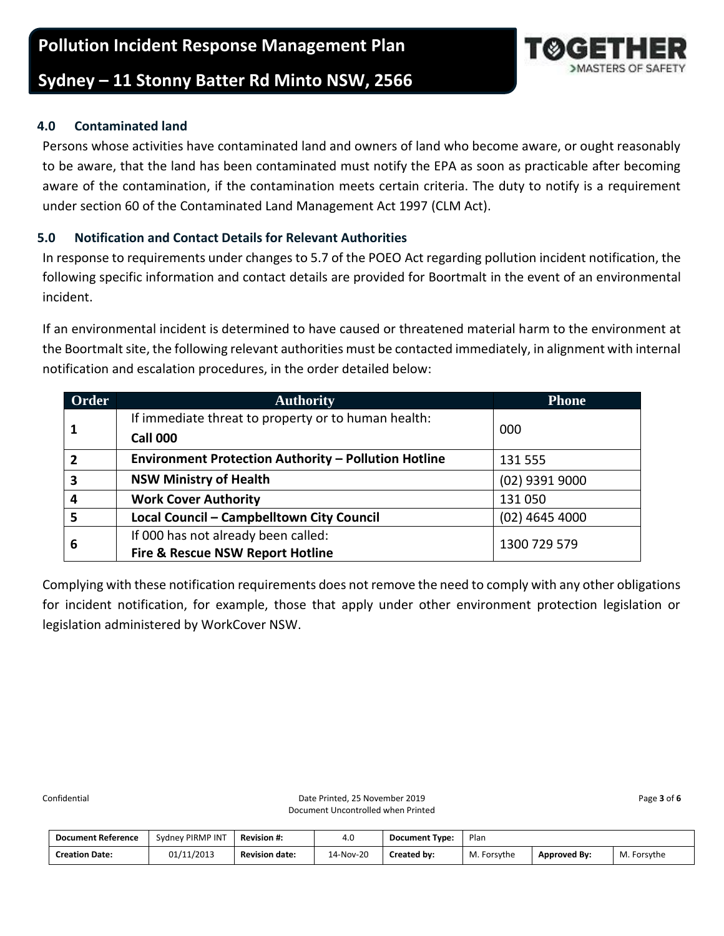## **Sydney – 11 Stonny Batter Rd Minto NSW, 2566**

## <span id="page-2-0"></span>**4.0 Contaminated land**

Persons whose activities have contaminated land and owners of land who become aware, or ought reasonably to be aware, that the land has been contaminated must notify the EPA as soon as practicable after becoming aware of the contamination, if the contamination meets certain criteria. The duty to notify is a requirement under section 60 of the Contaminated Land Management Act 1997 (CLM Act).

## <span id="page-2-1"></span>**5.0 Notification and Contact Details for Relevant Authorities**

In response to requirements under changes to 5.7 of the POEO Act regarding pollution incident notification, the following specific information and contact details are provided for Boortmalt in the event of an environmental incident.

If an environmental incident is determined to have caused or threatened material harm to the environment at the Boortmalt site, the following relevant authorities must be contacted immediately, in alignment with internal notification and escalation procedures, in the order detailed below:

| <b>Order</b>            | <b>Authority</b>                                            | <b>Phone</b>     |
|-------------------------|-------------------------------------------------------------|------------------|
|                         | If immediate threat to property or to human health:         |                  |
| 1                       | <b>Call 000</b>                                             | 000              |
| $\overline{2}$          | <b>Environment Protection Authority - Pollution Hotline</b> | 131 555          |
| $\overline{\mathbf{3}}$ | <b>NSW Ministry of Health</b>                               | (02) 9391 9000   |
| 4                       | <b>Work Cover Authority</b>                                 | 131050           |
| 5                       | Local Council - Campbelltown City Council                   | $(02)$ 4645 4000 |
|                         | If 000 has not already been called:                         | 1300 729 579     |
| 6                       | <b>Fire &amp; Rescue NSW Report Hotline</b>                 |                  |

Complying with these notification requirements does not remove the need to comply with any other obligations for incident notification, for example, those that apply under other environment protection legislation or legislation administered by WorkCover NSW.

| <b>Document Reference</b> | Sydney PIRMP INT | <b>Revision #:</b>    | 4.0       | <b>Document Type:</b> | Plan        |              |                |
|---------------------------|------------------|-----------------------|-----------|-----------------------|-------------|--------------|----------------|
| <b>Creation Date:</b>     | 01/11/2013       | <b>Revision date:</b> | 14-Nov-20 | Created by:           | M. Forsythe | Approved By: | M.<br>Forsythe |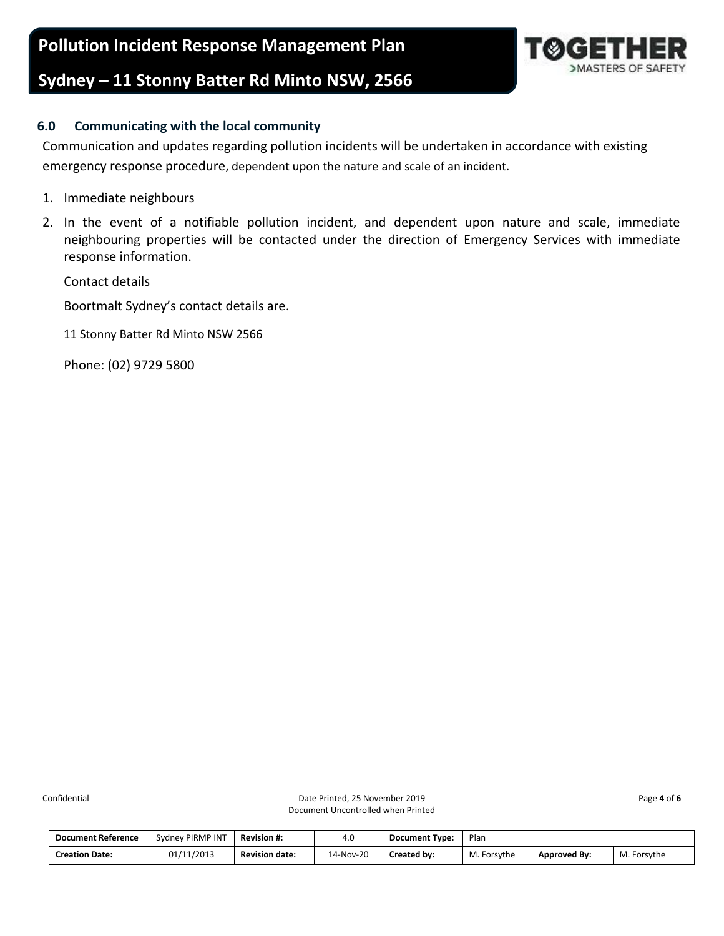**Pollution Incident Response Management Plan**

## **Sydney – 11 Stonny Batter Rd Minto NSW, 2566**



## <span id="page-3-0"></span>**6.0 Communicating with the local community**

Communication and updates regarding pollution incidents will be undertaken in accordance with existing emergency response procedure, dependent upon the nature and scale of an incident.

- 1. Immediate neighbours
- 2. In the event of a notifiable pollution incident, and dependent upon nature and scale, immediate neighbouring properties will be contacted under the direction of Emergency Services with immediate response information.

Contact details

Boortmalt Sydney's contact details are.

11 Stonny Batter Rd Minto NSW 2566

Phone: (02) 9729 5800

| <b>Document Reference</b> | Sydney PIRMP INT | <b>Revision #:</b>    | 4.U       | <b>Document Type:</b> | Plan        |                     |             |
|---------------------------|------------------|-----------------------|-----------|-----------------------|-------------|---------------------|-------------|
| <b>Creation Date:</b>     | 01/11/2013       | <b>Revision date:</b> | 14-Nov-20 | Created by:           | M. Forsythe | <b>Approved By:</b> | M. Forsythe |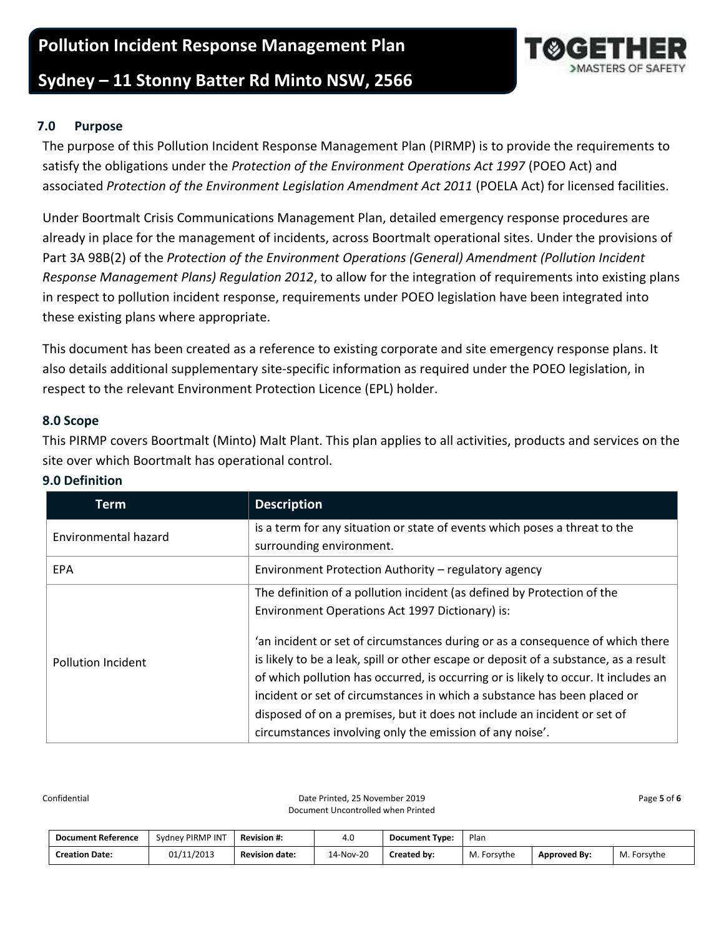## **Pollution Incident Response Management Plan**

## **Sydney – 11 Stonny Batter Rd Minto NSW, 2566**

## <span id="page-4-0"></span>**7.0 Purpose**

The purpose of this Pollution Incident Response Management Plan (PIRMP) is to provide the requirements to satisfy the obligations under the *Protection of the Environment Operations Act 1997* (POEO Act) and associated *Protection of the Environment Legislation Amendment Act 2011* (POELA Act) for licensed facilities.

Under Boortmalt Crisis Communications Management Plan, detailed emergency response procedures are already in place for the management of incidents, across Boortmalt operational sites. Under the provisions of Part 3A 98B(2) of the *Protection of the Environment Operations (General) Amendment (Pollution Incident Response Management Plans) Regulation 2012*, to allow for the integration of requirements into existing plans in respect to pollution incident response, requirements under POEO legislation have been integrated into these existing plans where appropriate.

This document has been created as a reference to existing corporate and site emergency response plans. It also details additional supplementary site-specific information as required under the POEO legislation, in respect to the relevant Environment Protection Licence (EPL) holder.

#### <span id="page-4-1"></span>**8.0 Scope**

This PIRMP covers Boortmalt (Minto) Malt Plant. This plan applies to all activities, products and services on the site over which Boortmalt has operational control.

| Term                        | <b>Description</b>                                                                                                                                                                                                                                                                                                                                                                                                                                                                |
|-----------------------------|-----------------------------------------------------------------------------------------------------------------------------------------------------------------------------------------------------------------------------------------------------------------------------------------------------------------------------------------------------------------------------------------------------------------------------------------------------------------------------------|
| <b>Environmental hazard</b> | is a term for any situation or state of events which poses a threat to the<br>surrounding environment.                                                                                                                                                                                                                                                                                                                                                                            |
| <b>EPA</b>                  | Environment Protection Authority - regulatory agency                                                                                                                                                                                                                                                                                                                                                                                                                              |
|                             | The definition of a pollution incident (as defined by Protection of the<br>Environment Operations Act 1997 Dictionary) is:                                                                                                                                                                                                                                                                                                                                                        |
| <b>Pollution Incident</b>   | 'an incident or set of circumstances during or as a consequence of which there<br>is likely to be a leak, spill or other escape or deposit of a substance, as a result<br>of which pollution has occurred, is occurring or is likely to occur. It includes an<br>incident or set of circumstances in which a substance has been placed or<br>disposed of on a premises, but it does not include an incident or set of<br>circumstances involving only the emission of any noise'. |

## <span id="page-4-2"></span>**9.0 Definition**

Confidential Page 5 of 6 Date Printed, 25 November 2019 **Page 5** of 6 Document Uncontrolled when Printed

| <b>Document Reference</b> | Sydney PIRMP INT | <b>Revision #:</b>    | 4.0       | <b>Document Type:</b> | Plan        |                     |             |
|---------------------------|------------------|-----------------------|-----------|-----------------------|-------------|---------------------|-------------|
| <b>Creation Date:</b>     | 01/11/2013       | <b>Revision date:</b> | 14-Nov-20 | Created by:           | M. Forsythe | <b>Approved By:</b> | M. Forsythe |